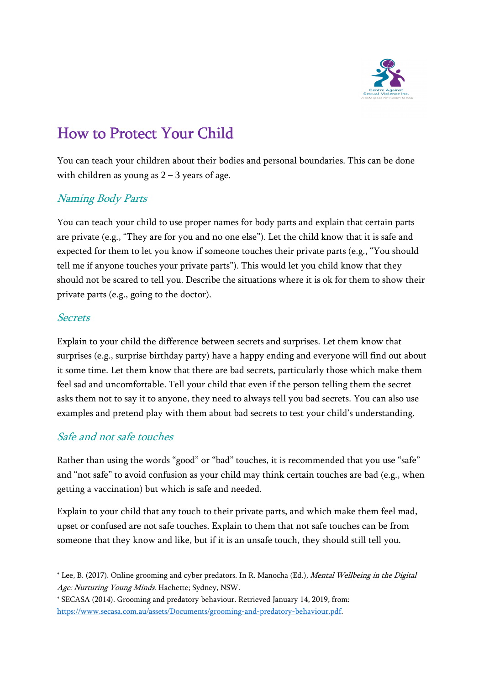

# How to Protect Your Child

You can teach your children about their bodies and personal boundaries. This can be done with children as young as  $2 - 3$  years of age.

#### Naming Body Parts

You can teach your child to use proper names for body parts and explain that certain parts are private (e.g., "They are for you and no one else"). Let the child know that it is safe and expected for them to let you know if someone touches their private parts (e.g., "You should tell me if anyone touches your private parts"). This would let you child know that they should not be scared to tell you. Describe the situations where it is ok for them to show their private parts (e.g., going to the doctor).

#### **Secrets**

Explain to your child the difference between secrets and surprises. Let them know that surprises (e.g., surprise birthday party) have a happy ending and everyone will find out about it some time. Let them know that there are bad secrets, particularly those which make them feel sad and uncomfortable. Tell your child that even if the person telling them the secret asks them not to say it to anyone, they need to always tell you bad secrets. You can also use examples and pretend play with them about bad secrets to test your child's understanding.

#### Safe and not safe touches

Rather than using the words "good" or "bad" touches, it is recommended that you use "safe" and "not safe" to avoid confusion as your child may think certain touches are bad (e.g., when getting a vaccination) but which is safe and needed.

Explain to your child that any touch to their private parts, and which make them feel mad, upset or confused are not safe touches. Explain to them that not safe touches can be from someone that they know and like, but if it is an unsafe touch, they should still tell you.

<sup>\*</sup> Lee, B. (2017). Online grooming and cyber predators. In R. Manocha (Ed.), Mental Wellbeing in the Digital Age: Nurturing Young Minds. Hachette; Sydney, NSW.

<sup>\*</sup> SECASA (2014). Grooming and predatory behaviour. Retrieved January 14, 2019, from: https://www.secasa.com.au/assets/Documents/grooming-and-predatory-behaviour.pdf.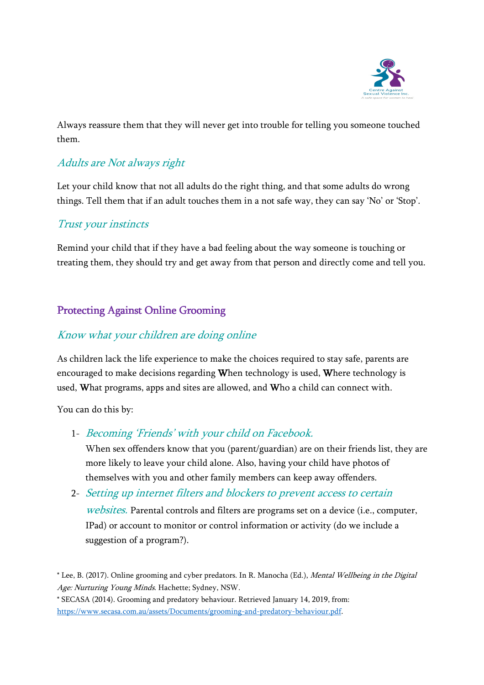

Always reassure them that they will never get into trouble for telling you someone touched them.

# Adults are Not always right

Let your child know that not all adults do the right thing, and that some adults do wrong things. Tell them that if an adult touches them in a not safe way, they can say 'No' or 'Stop'.

#### Trust your instincts

Remind your child that if they have a bad feeling about the way someone is touching or treating them, they should try and get away from that person and directly come and tell you.

# Protecting Against Online Grooming

# Know what your children are doing online

As children lack the life experience to make the choices required to stay safe, parents are encouraged to make decisions regarding When technology is used, Where technology is used, What programs, apps and sites are allowed, and Who a child can connect with.

You can do this by:

1- Becoming 'Friends' with your child on Facebook.

When sex offenders know that you (parent/guardian) are on their friends list, they are more likely to leave your child alone. Also, having your child have photos of themselves with you and other family members can keep away offenders.

2- Setting up internet filters and blockers to prevent access to certain

websites. Parental controls and filters are programs set on a device (i.e., computer, IPad) or account to monitor or control information or activity (do we include a suggestion of a program?).

<sup>\*</sup> Lee, B. (2017). Online grooming and cyber predators. In R. Manocha (Ed.), Mental Wellbeing in the Digital Age: Nurturing Young Minds. Hachette; Sydney, NSW.

<sup>\*</sup> SECASA (2014). Grooming and predatory behaviour. Retrieved January 14, 2019, from: https://www.secasa.com.au/assets/Documents/grooming-and-predatory-behaviour.pdf.